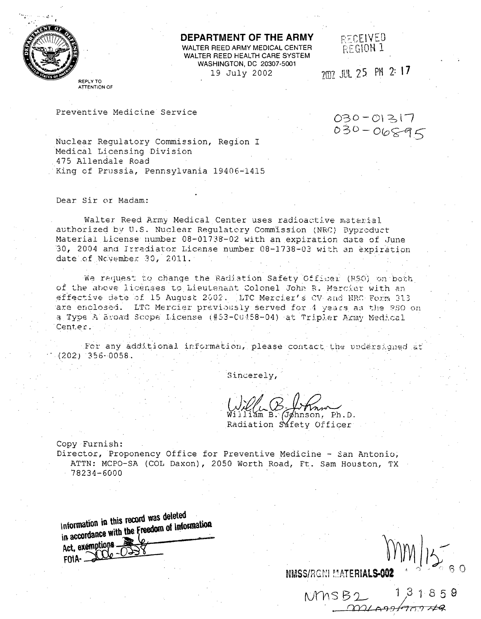

**DEPARTMENT OF THE ARMY FECEIVED WALTER REED ARMY MEDICAL CENTER**  $R \in \mathbb{C}$  **1** WALTER REED HEALTH CARE SYSTEM **WASHINGTON, DC 20307-5001** 19 July 2002 7m7 JUL 25 PM 2:17

REPLY TO **ATTENTION** OF

Preventive Medicine Service  $030-01317$ <br> $030-06895$ 

Nuclear Regulatory Commission, Region I Medical Licensing Division .475 Allendale Road King of Prussia, Pennsylvania 19406-1415

#### Dear Sir or Madam:

Walter Reed Army Medical Center uses radioactive material authorized by U.S. Nuclear Regulatory Commission (NRC) Byproduct Material License number 08-01738-02 with an expiration date of June 30, 2004 and Irradiator License number 08-1738-03 with an expiration date of Ncvember 30, 2011.

**Pe** re,:qiuest -o change the Rar.lI tion Safety **Of fi** e1 **(l1s.o)** on *bo* Ia of the above licenses to Lieutenant Colonel John R. Mercier with an **ff** c **tIVe** Jdte **nf** 15 August 2'j02 LTC Mercier' **5V** and **NRC** T-orm *31.* are enclosed. LTC Mercier previously served for 4 years as the 9S0 on a Type A Broad Scope License (#53-CU158-04) at Tripler Army Medical Center.

For any additional information, please contact the undersigned at *(202)* 356-.0058.

Sincerely,

 $h$ nson, Ph.D. Radiation Safety Officer

NMSS/RONLMATERIALS-002

 $NMSB2$ 

m 10010991700748

 $31859$ 

Copy Furnish: Director, Proponency Office for Preventive Medicine - San Antonio, ATTN: MCPO-SA (COL Daxon), 2050 Worth Road, Ft. Sam Houston, TX 78234-6000

**intormation in** this **record** was deleted in accordance with the Freedom of Information<br>Act, exemptions  $FOMA-$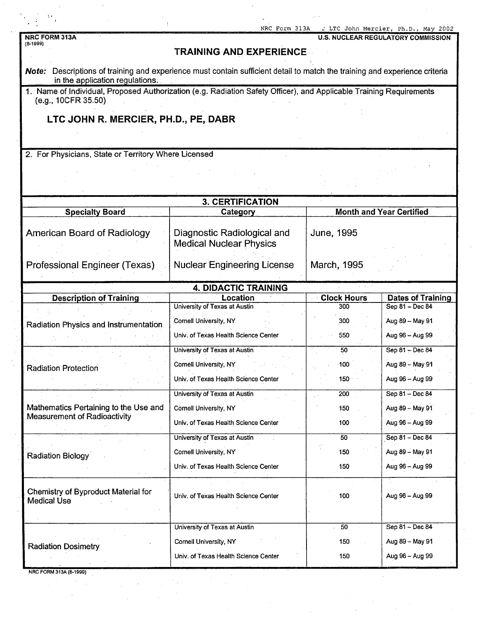| t.                                                                                                                                                            | NRC Form 313A                                                 |                           | . LTC John Mercier, Ph.D., May 2002         |  |  |  |
|---------------------------------------------------------------------------------------------------------------------------------------------------------------|---------------------------------------------------------------|---------------------------|---------------------------------------------|--|--|--|
| <b>NRC FORM 313A</b><br>$(8-1999)$                                                                                                                            |                                                               |                           | <b>U.S. NUCLEAR REGULATORY COMMISSION</b>   |  |  |  |
|                                                                                                                                                               | <b>TRAINING AND EXPERIENCE</b>                                |                           |                                             |  |  |  |
| Note: Descriptions of training and experience must contain sufficient detail to match the training and experience criteria<br>in the application regulations. |                                                               |                           |                                             |  |  |  |
| 1. Name of Individual, Proposed Authorization (e.g. Radiation Safety Officer), and Applicable Training Requirements<br>(e.g., 10CFR 35.50)                    |                                                               |                           |                                             |  |  |  |
| LTC JOHN R. MERCIER, PH.D., PE, DABR                                                                                                                          |                                                               |                           |                                             |  |  |  |
|                                                                                                                                                               |                                                               |                           |                                             |  |  |  |
| 2. For Physicians, State or Territory Where Licensed                                                                                                          |                                                               |                           |                                             |  |  |  |
|                                                                                                                                                               |                                                               |                           |                                             |  |  |  |
|                                                                                                                                                               |                                                               |                           |                                             |  |  |  |
|                                                                                                                                                               | <b>3. CERTIFICATION</b>                                       |                           |                                             |  |  |  |
| <b>Specialty Board</b>                                                                                                                                        | Category                                                      |                           | <b>Month and Year Certified</b>             |  |  |  |
| <b>American Board of Radiology</b>                                                                                                                            | Diagnostic Radiological and<br><b>Medical Nuclear Physics</b> | June, 1995                |                                             |  |  |  |
| Professional Engineer (Texas)                                                                                                                                 | <b>Nuclear Engineering License</b>                            | March, 1995               |                                             |  |  |  |
| <b>4. DIDACTIC TRAINING</b>                                                                                                                                   |                                                               |                           |                                             |  |  |  |
| <b>Description of Training</b>                                                                                                                                | Location<br>University of Texas at Austin                     | <b>Clock Hours</b><br>300 | <b>Dates of Training</b><br>Sep 81 - Dec 84 |  |  |  |
|                                                                                                                                                               | Cornell University, NY                                        | 300                       | Aug 89 - May 91                             |  |  |  |
| Radiation Physics and Instrumentation                                                                                                                         | Univ. of Texas Health Science Center                          | 550                       | Aug 96 - Aug 99                             |  |  |  |
|                                                                                                                                                               | University of Texas at Austin                                 | 50                        | Sep 81 - Dec 84                             |  |  |  |
|                                                                                                                                                               | Cornell University, NY                                        | 100                       | Aug 89 – May 91                             |  |  |  |
| <b>Radiation Protection</b>                                                                                                                                   | Univ. of Texas Health Science Center                          | 150                       | Aug 96 - Aug 99                             |  |  |  |
|                                                                                                                                                               | University of Texas at Austin                                 | 200                       | Sep 81 - Dec 84                             |  |  |  |
| Mathematics Pertaining to the Use and                                                                                                                         | Cornell University, NY                                        | 150                       | Aug 89 - May 91                             |  |  |  |
| <b>Measurement of Radioactivity</b>                                                                                                                           | Univ. of Texas Health Science Center                          | 100                       | Aug 96 - Aug 99                             |  |  |  |
|                                                                                                                                                               | University of Texas at Austin                                 | 50                        | Sep 81 - Dec 84                             |  |  |  |
|                                                                                                                                                               | Cornell University, NY                                        | 150                       | Aug 89 - May 91                             |  |  |  |
| <b>Radiation Biology</b>                                                                                                                                      | Univ. of Texas Health Science Center                          | 150                       | Aug 96 - Aug 99                             |  |  |  |
| Chemistry of Byproduct Material for<br><b>Medical Use</b>                                                                                                     | Univ. of Texas Health Science Center                          | 100                       | Aug 96 - Aug 99                             |  |  |  |
|                                                                                                                                                               | University of Texas at Austin                                 | 50                        | Sep 81 - Dec 84                             |  |  |  |
| <b>Radiation Dosimetry</b>                                                                                                                                    |                                                               |                           | Aug 89 - May 91                             |  |  |  |
|                                                                                                                                                               | Univ. of Texas Health Science Center                          | 150                       | Aug 96 - Aug 99                             |  |  |  |
| NRC FORM 313A (8-1999)                                                                                                                                        | Cornell University, NY                                        | 150                       |                                             |  |  |  |

 $\hat{\mathbf{v}}$ 

 $\hat{\boldsymbol{\beta}}$ 

 $\hat{\mathcal{A}}$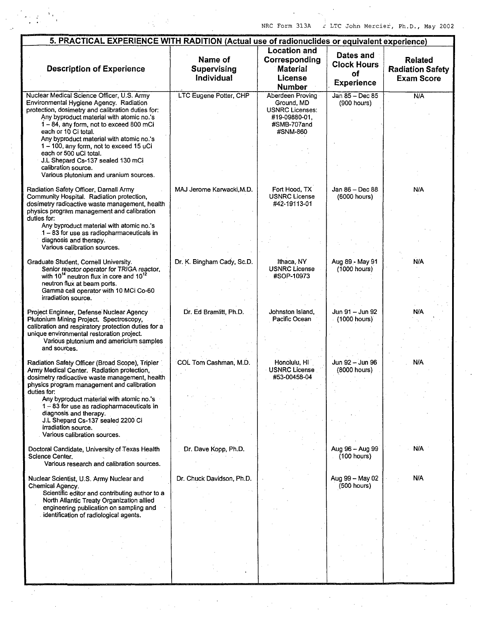$\mathcal{L}$ 

 $\frac{1}{2}$ 

 $\hat{\phi}$ 

NRC Form 313A  $\int_C$  LTC John Mercier, Ph.D., May 2002.

| 5. PRACTICAL EXPERIENCE WITH RADITION (Actual use of radionuclides or equivalent experience)                                                                                                                                                                                                                                                                                                                                                                                 |                                      |                                                                                                      |                                                            |                                                                |  |
|------------------------------------------------------------------------------------------------------------------------------------------------------------------------------------------------------------------------------------------------------------------------------------------------------------------------------------------------------------------------------------------------------------------------------------------------------------------------------|--------------------------------------|------------------------------------------------------------------------------------------------------|------------------------------------------------------------|----------------------------------------------------------------|--|
| <b>Description of Experience</b>                                                                                                                                                                                                                                                                                                                                                                                                                                             | Name of<br>Supervising<br>Individual | <b>Location and</b><br>Corresponding<br><b>Material</b><br>License<br><b>Number</b>                  | Dates and<br><b>Clock Hours</b><br>οf<br><b>Experience</b> | <b>Related</b><br><b>Radiation Safety</b><br><b>Exam Score</b> |  |
| Nuclear Medical Science Officer, U.S. Army<br>Environmental Hygiene Agency. Radiation<br>protection, dosimetry and calibration duties for:<br>Any byproduct material with atomic no.'s<br>1-84, any form, not to exceed 800 mCi<br>each or 10 Ci total.<br>Any byproduct material with atomic no.'s<br>1-100, any form, not to exceed 15 uCi<br>each or 500 uCi total.<br>J.L Shepard Cs-137 sealed 130 mCi<br>calibration source.<br>Various plutonium and uranium sources. | LTC Eugene Potter, CHP               | Aberdeen Proving<br>Ground, MD<br><b>USNRC Licenses:</b><br>#19-09880-01,<br>#SMB-707and<br>#SNM-860 | Jan 85 - Dec 85<br>(900 hours)                             | N/A                                                            |  |
| Radiation Safety Officer, Darnall Army<br>Community Hospital. Radiation protection,<br>dosimetry radioactive waste management, health<br>physics program management and calibration<br>duties for:<br>Any byproduct material with atomic no.'s<br>1 - 83 for use as radiopharmaceuticals in<br>diagnosis and therapy.<br>Various calibration sources.                                                                                                                        | MAJ Jerome Karwacki, M.D.            | Fort Hood, TX<br><b>USNRC License</b><br>#42-19113-01                                                | Jan 86 - Dec 88<br>(6000 hours)                            | N/A                                                            |  |
| Graduate Student, Cornell University.<br>Senior reactor operator for TRIGA reactor,<br>with 10 <sup>14</sup> neutron flux in core and 10 <sup>12</sup><br>neutron flux at beam ports.<br>Gamma cell operator with 10 MCi Co-60<br>irradiation source.                                                                                                                                                                                                                        | Dr. K. Bingham Cady, Sc.D.           | Ithaca, NY<br><b>USNRC License</b><br>#SOP-10973                                                     | Aug 89 - May 91<br>(1000 hours)                            | N/A                                                            |  |
| Project Engineer, Defense Nuclear Agency<br>Plutonium Mining Project. Spectroscopy,<br>calibration and respiratory protection duties for a<br>unique environmental restoration project.<br>Various plutonium and americium samples<br>and sources.                                                                                                                                                                                                                           | Dr. Ed Bramlitt, Ph.D.               | Johnston Island,<br>Pacific Ocean                                                                    | Jun 91 - Jun 92<br>$(1000$ hours)                          | N/A                                                            |  |
| Radiation Safety Officer (Broad Scope), Tripler<br>Army Medical Center. Radiation protection,<br>dosimetry radioactive waste management, health<br>physics program management and calibration<br>duties for:<br>Any byproduct material with atomic no.'s<br>$1 - 83$ for use as radiopharmaceuticals in<br>diagnosis and therapy.                                                                                                                                            | COL Tom Cashman, M.D.                | Honolulu, HI<br><b>USNRC License</b><br>#53-00458-04                                                 | Jun 92 - Jun 96<br>(8000 hours)                            | N/A                                                            |  |
| J.L Shepard Cs-137 sealed 2200 Ci<br>irradiation source.<br>Various calibration sources.<br>Doctoral Candidate, University of Texas Health<br>Science Center.                                                                                                                                                                                                                                                                                                                | Dr. Dave Kopp, Ph.D.                 |                                                                                                      | Aug 96 - Aug 99<br>(100 hours)                             | N/A                                                            |  |
| Various research and calibration sources.<br>Nuclear Scientist, U.S. Army Nuclear and<br>Chemical Agency.<br>Scientific editor and contributing author to a<br>North Atlantic Treaty Organization allied                                                                                                                                                                                                                                                                     | Dr. Chuck Davidson, Ph.D.            |                                                                                                      | Aug 99 - May 02<br>(500 hours)                             | N/A                                                            |  |
| engineering publication on sampling and<br>identification of radiological agents.                                                                                                                                                                                                                                                                                                                                                                                            |                                      |                                                                                                      |                                                            |                                                                |  |
|                                                                                                                                                                                                                                                                                                                                                                                                                                                                              |                                      |                                                                                                      |                                                            |                                                                |  |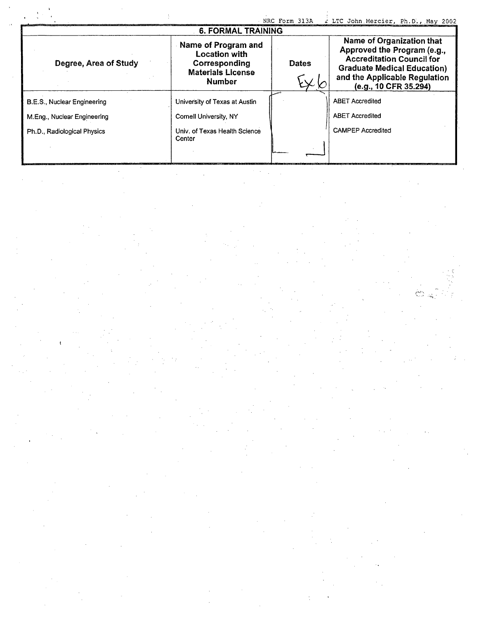|                             |                                                                                                           | NRC Form 313A | I LTC John Mercier, Ph.D., May 2002                                                                                                                                                          |  |  |  |  |
|-----------------------------|-----------------------------------------------------------------------------------------------------------|---------------|----------------------------------------------------------------------------------------------------------------------------------------------------------------------------------------------|--|--|--|--|
| <b>6. FORMAL TRAINING</b>   |                                                                                                           |               |                                                                                                                                                                                              |  |  |  |  |
| Degree, Area of Study       | Name of Program and<br><b>Location with</b><br>Corresponding<br><b>Materials License</b><br><b>Number</b> | <b>Dates</b>  | Name of Organization that<br>Approved the Program (e.g.,<br><b>Accreditation Council for</b><br><b>Graduate Medical Education)</b><br>and the Applicable Regulation<br>(e.g., 10 CFR 35.294) |  |  |  |  |
| B.E.S., Nuclear Engineering | University of Texas at Austin                                                                             |               | <b>ABET Accredited</b>                                                                                                                                                                       |  |  |  |  |
| M.Eng., Nuclear Engineering | Cornell University, NY                                                                                    |               | <b>ABET Accredited</b>                                                                                                                                                                       |  |  |  |  |
| Ph.D., Radiological Physics | Univ. of Texas Health Science<br>Center                                                                   |               | <b>CAMPEP Accredited</b>                                                                                                                                                                     |  |  |  |  |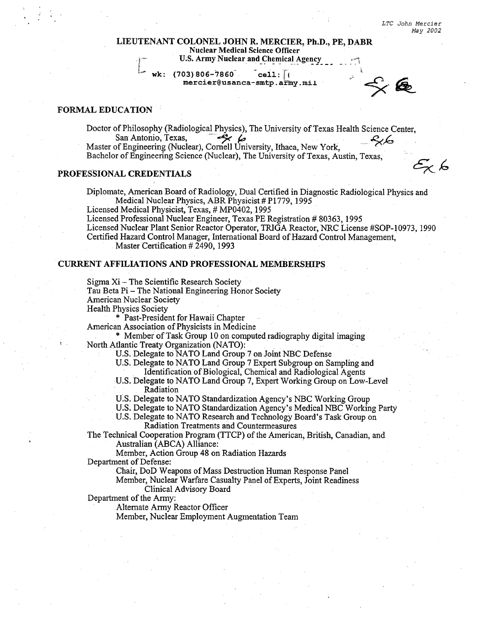*LTC John Mercier* May *2002*

医

 $\mathscr{E}_{\mathsf{X}}$  ks

## **LIEUTENANT COLONEL JOHN** R. MERCIER, Ph.D., PE, DABR Nuclear Medical Science Officer

**U.S. Army Nuclear and Chemical Agency** 

wk: (703)806-7860 cell:  $\sqrt{10}$ mercier@usanca-smtp.army.mil

## FORMAL **EDUCATION**

Doctor of Philosophy (Radiological Physics), The University of Texas Health Science Center,<br>San Antonio, Texas, San Antonio, Texas,  $\overrightarrow{A}$ 

Master of Engineering (Nuclear), Cornell University, Ithaca, New York, Bachelor of Engineering Science (Nuclear), The University of Texas, Austin, Texas,

#### **PROFESSIONAL CREDENTIALS**

Diplomate, American Board of Radiology, Dual Certified in Diagnostic Radiological Physics and Medical Nuclear Physics, ABR Physicist # P1779, 1995

Licensed Medical Physicist, Texas, # MP0402, 1995

Licensed Professional Nuclear Engineer, Texas PE Registration # 80363, 1995

Licensed Nuclear Plant Senior Reactor Operator, TRIGA Reactor, NRC License #SOP- 10973, 1990

Certified Hazard Control Manager, International Board of Hazard Control Management, Master Certification # 2490, 1993

#### CURRENT AFFILIATIONS AND PROFESSIONAL MEMBERSHIPS

Sigma Xi - The Scientific Research Society

Tau Beta Pi - The National Engineering Honor Society

American Nuclear Society

\* Past-President for Hawaii Chapter

American Association of Physicists in Medicine

*\** Member of Task Group 10 on computed radiography digital imaging North Atlantic Treaty Organization (NATO):

- U.S. Delegate to NATO Land Group 7 on Joint NBC Defense
- U.S. Delegate to NATO Land Group 7 Expert Subgroup on Sampling and Identification of Biological, Chemical and Radiological Agents
- U.S. Delegate to NATO Land Group 7, Expert Working Group on Low-Level Radiation
- **U.S.** Delegate to NATO Standardization Agency's NBC Working Group
- U.S. Delegate to NATO Standardization Agency's Medical NBC Working Party

U.S. Delegate to NATO Research and Technology Board's Task Group on Radiation Treatments and Countermeasures

The Technical Cooperation Program (TTCP) of the American, British, Canadian, and Australian (ABCA) Alliance:

Member, Action Group 48 on Radiation Hazards

Department of Defense:

Chair, DoD Weapons of Mass Destruction Human Response Panel

Member, Nuclear Warfare Casualty Panel of Experts, Joint Readiness Clinical Advisory Board

Department of the Army:

Alternate Army Reactor Officer

Member, Nuclear Employment Augmentation Team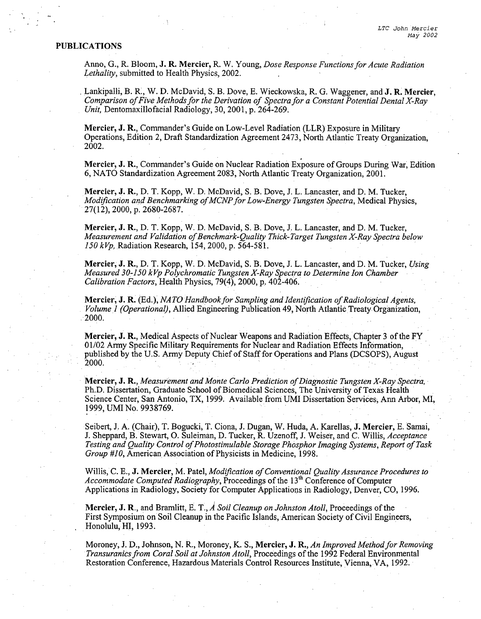## **PUBLICATIONS**

Anno, G., R. Bloom, **J.** R. Mercier, R. W. Young, *Dose Response Functions for Acute Radiation Lethality,* submitted to Health Physics, 2002.

Lankipalli, B. R., W. D. McDavid, S. B. Dove, **E.** Wieckowska, R. G. Waggener, and **J.** R. Mercier, *Comparison of Five Methods for the Derivation of Spectra for a Constant Potential Dental X-Ray* Unit, Dentomaxillofacial Radiology, 30, 2001, p. 264-269.

Mercier, **J.** R., Commander's Guide on Low-Level Radiation (LLR) Exposure in Military Operations, Edition 2, Draft Standardization Agreement 2473, North Atlantic Treaty Organization, 2002.

Mercier, **J.** R., Commander's Guide on Nuclear Radiation Exposure of Groups During War, Edition 6, NATO Standardization Agreement 2083, North Atlantic Treaty Organization, 2001.

Mercier, **J.** R., D. T. Kopp, W. D. McDavid, S. B. Dove, J. L. Lancaster, and D. M. Tucker, *Modification and Benchmarking of MCNP for Low-Energy Tungsten Spectra, Medical Physics,* 27(12), 2000, p. 2680-2687.

Mercier, **J.** R., D. T. Kopp, W. D. McDavid, S. B. Dove, J. L. Lancaster, and D. M. Tucker, *Measurement and Validation of Benchmark-Quality Thick-Target Tungsten X-Ray Spectra below* 150 kVp, Radiation Research, 154, 2000, p. 564-581.

Mercier, **J.** R., **D.** T. Kopp, W. D. McDavid, S. B. Dove, J. L. Lancaster, and D. M. Tucker, *Using Measured 30-150 kVp Polychromatic Tungsten X-Ray Spectra to Determine Ion Chamber Calibration Factors,* Health Physics, 79(4), 2000, p. 402-406.

Mercier, **J.** R. (Ed.), *NA TO Handbook for Sampling and Identification of Radiological Agents, Volume I (Operational),* Allied Engineering Publication 49, North Atlantic Treaty Organization, 2000.

Mercier, **J.** R., Medical Aspects of Nuclear Weapons and Radiation Effects, Chapter 3 of the FY 01/02 Army Specific Military Requirements for Nuclear and Radiation Effects Information, published by the U.S. Army Deputy Chief of Staff for Operations and Plans (DCSOPS), August 2000.

Mercier, **J.** R., *Measurement and Monte Carlo Prediction of Diagnostic Tungsten X-Ray Spectra,* Ph.D. Dissertation, Graduate School of Biomedical Sciences, The University of Texas Health Science Center, San Antonio, TX, 1999. Available from **UMI** Dissertation Services, Ann Arbor, MI, 1999, UMI No. 9938769.

Seibert, J. A. (Chair), T. Bogucki, T. Ciona, J. Dugan, W. Huda, A. Karellas, **J.** Mercier, E. Samai, J. Sheppard, B. Stewart, **0.** Suleiman, D. Tucker, R. Uzenoff, J. Weiser, and C. Willis, *Acceptance Testing and Quality Control of Photostimulable Storage Phosphor Imaging Systems, Report of Task Group* #10, American Association of Physicists in Medicine, 1998.

Willis, C. E., **J.** Mercier, M. Patel, *Modification of Conventional Quality Assurance Procedures to Accommodate Computed Radiography,* Proceedings of the 13<sup>th</sup> Conference of Computer Applications in Radiology, Society for Computer Applications in Radiology, Denver, CO, 1996.

Mercier, **J.** R., and Bramlitt, **E.** T., *A Soil Cleanup on Johnston Atoll,* Proceedings of the First Symposium on Soil Cleanup in the Pacific Islands, American Society of Civil Engineers, Honolulu, HI, 1993.

Moroney, J. D., Johnson, N. R., Moroney, K. S., Mercier, **J.** R., *An Improved Method for Removing Transuranics from Coral Soil at Johnston Atoll,* Proceedings of the 1992 Federal Environmental Restoration Conference, Hazardous Materials Control Resources Institute, Vienna, VA, 1992.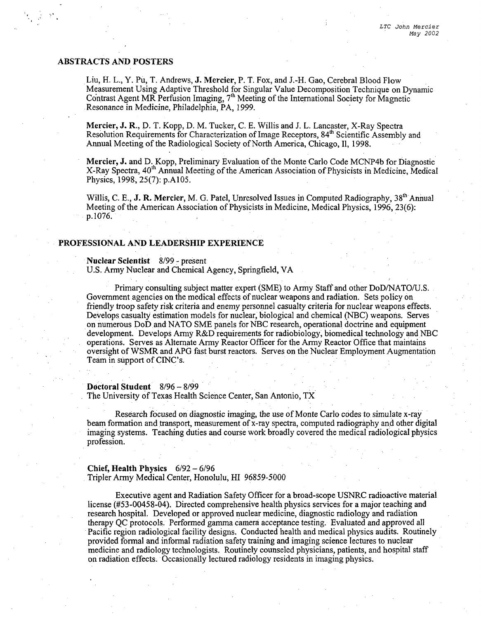## ABSTRACTS **AND** POSTERS

Liu, H. L., Y. Pu, T. Andrews, **J.** Mercier, P. T. Fox, and **J.-H.** Gao, Cerebral Blood Flow Measurement Using Adaptive Threshold for Singular Value Decomposition Technique on Dynamic Contrast Agent MR Perfusion Imaging, 7<sup>th</sup> Meeting of the International Society for Magnetic Resonance in Medicine, Philadelphia, PA, 1999.

Mercier, **J.** R., D. T. Kopp, D. M. Tucker, C. E. Willis and J. L. Lancaster, X-Ray Spectra Resolution Requirements for Characterization of Image Receptors, 84<sup>th</sup> Scientific Assembly and Annual Meeting of the Radiological Society of North America, Chicago, **I1,** 1998.

Mercier, **J.** and D. Kopp, Preliminary Evaluation of the Monte Carlo Code MCNP4b for Diagnostic X-Ray Spectra, 40'h Annual Meeting of the American Association of Physicists in Medicine, Medical Physics, 1998, 25(7): p.A105.

Willis, C. E., **J. R. Mercier**, M. G. Patel, Unresolved Issues in Computed Radiography, 38<sup>th</sup> Annual Meeting of the American Association of Physicists in Medicine, Medical Physics, 1996, 23(6): **p.** 1076.

#### **PROFESSIONAL AND** LEADERSHIP **EXPERIENCE**

### Nuclear Scientist **8/99** -present

U.S. Army Nuclear and Chemical Agency, Springfield, VA

Primary consulting subject matter expert (SME) to Army Staff and other DoD/NATO/U.S. Government agencies on the medical effects of nuclear weapons and radiation. Sets policy on friendly troop safety risk criteria and enemy personnel casualty criteria for nuclear weapons effects. Develops casualty estimation models for nuclear, biological and chemical (NBC) weapons. Serves on numerous DoD and NATO SME panels for NBC research, operational doctrine and equipment development. Develops Army R&D requirements for radiobiology, biomedical technology and NBC operations. Serves as Alternate Army Reactor Officer for the Army Reactor Office that maintains oversight of WSMR and APG fast burst reactors. Serves on the Nuclear Employment Augmentation Team in support of CINC's.

# Doctoral Student 8/96 - 8/99

The University of Texas Health Science Center, San Antonio, TX

Research focused on diagnostic imaging, the use of Monte Carlo codes to. simulate x-ray beam formation and transport, measurement of x-ray spectra, computed radiography and other digital imaging systems. Teaching duties and course work broadly covered the medical radiological physics profession.

#### Chief, Health Physics 6/92- 6/96 Tripler Army Medical Center, Honolulu, HI 96859-5000

Executive agent and Radiation Safety Officer for a broad-scope USNRC radioactive material license (#53-00458-04). Directed comprehensive health physics services for a major teaching and research hospital. Developed or approved nuclear medicine, diagnostic radiology and radiation therapy QC protocols. Performed gamma camera acceptance testing. Evaluated and approved all Pacific region radiological facility designs. Conducted health and medical physics audits. Routinely provided formal and informal radiation safety training and imaging science lectures to nuclear medicine and radiology technologists. Routinely counseled physicians, patients, and hospital staff on radiation effects. Occasionally lectured radiology residents in imaging physics.